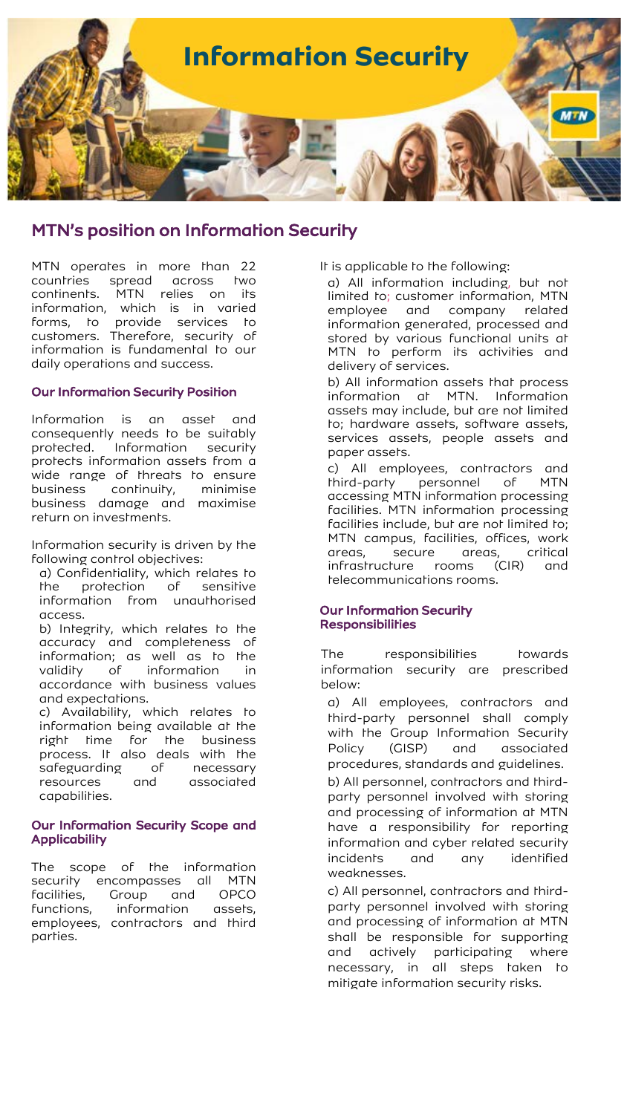

## MTN's position on Information Security

MTN operates in more than 22 countries spread across two continents. MTN relies on its information, which is in varied forms, to provide services to customers. Therefore, security of information is fundamental to our daily operations and success.

## Our Information Security Position

Information is an asset and consequently needs to be suitably protected. Information security protects information assets from a wide range of threats to ensure business continuity, minimise business damage and maximise return on investments.

Information security is driven by the following control objectives:

a) Confidentiality, which relates to the protection of sensitive information from unauthorised access.

b) Integrity, which relates to the accuracy and completeness of information; as well as to the<br>validity of information in validity of information in accordance with business values and expectations.

c) Availability, which relates to information being available at the right time for the business process. It also deals with the safeguarding of necessary resources and associated capabilities.

## Our Information Security Scope and **Applicability**

The scope of the information security encompasses all MTN<br>facilities, Group and OPCO facilities, Group and functions, information assets, employees, contractors and third parties.

It is applicable to the following:

a) All information including, but not limited to; customer information, MTN employee and company related information generated, processed and stored by various functional units at MTN to perform its activities and delivery of services.

b) All information assets that process information at MTN. Information assets may include, but are not limited to; hardware assets, software assets, services assets, people assets and paper assets.

c) All employees, contractors and third-party personnel of MTN accessing MTN information processing facilities. MTN information processing facilities include, but are not limited to; MTN campus, facilities, offices, work areas, secure areas, critical<br>infrastructure rooms (CIR) and infrastructure rooms (CIR) and telecommunications rooms.

## Our Information Security **Responsibilities**

The responsibilities towards information security are prescribed below:

a) All employees, contractors and third-party personnel shall comply with the Group Information Security Policy (GISP) and associated procedures, standards and guidelines.

b) All personnel, contractors and thirdparty personnel involved with storing and processing of information at MTN have a responsibility for reporting information and cyber related security incidents and any identified weaknesses.

c) All personnel, contractors and thirdparty personnel involved with storing and processing of information at MTN shall be responsible for supporting and actively participating where necessary, in all steps taken to mitigate information security risks.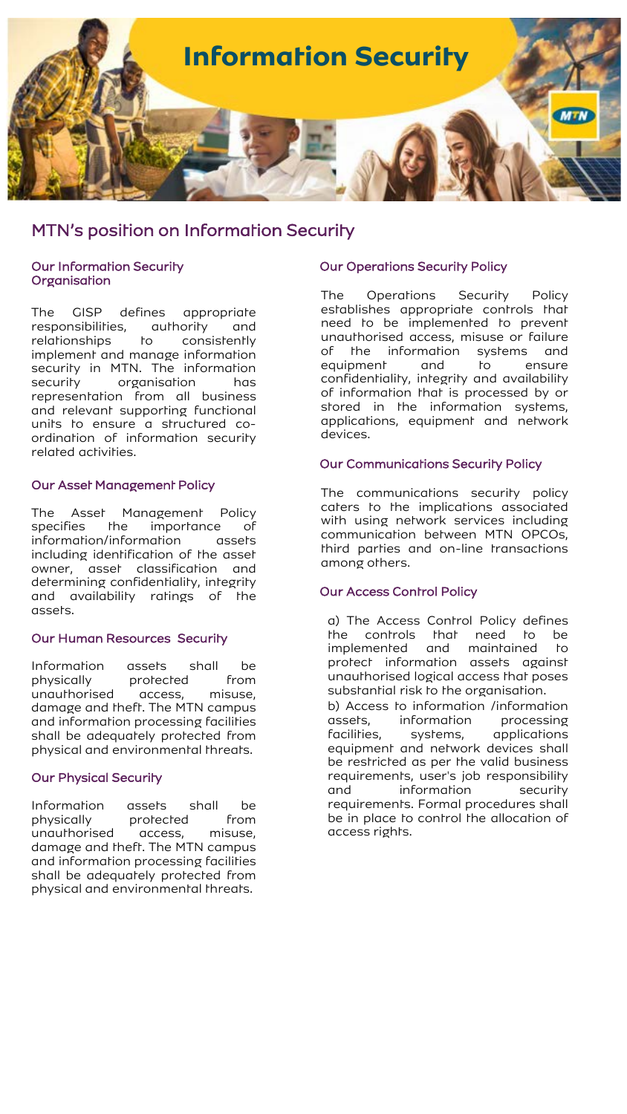

# MTN's position on Information Security

### Our Information Security **Organisation**

The GISP defines appropriate responsibilities, authority and relationships to consistently implement and manage information security in MTN. The information security organisation has representation from all business and relevant supporting functional units to ensure a structured coordination of information security related activities.

#### Our Asset Management Policy

The Asset Management Policy specifies the importance of information/information assets including identification of the asset owner, asset classification and determining confidentiality, integrity and availability ratings of the assets.

## Our Human Resources Security

Information assets shall be<br>physically protected from profected from unauthorised access, misuse, damage and theft. The MTN campus and information processing facilities shall be adequately protected from physical and environmental threats.

## Our Physical Security

Information assets shall be physically protected from unauthorised access, misuse, damage and theft. The MTN campus and information processing facilities shall be adequately protected from physical and environmental threats.

#### Our Operations Security Policy

The Operations Security Policy establishes appropriate controls that need to be implemented to prevent unauthorised access, misuse or failure of the information systems and equipment and to ensure confidentiality, integrity and availability of information that is processed by or stored in the information systems, applications, equipment and network devices.

#### Our Communications Security Policy

The communications security policy caters to the implications associated with using network services including communication between MTN OPCOs, third parties and on-line transactions among others.

## Our Access Control Policy

a) The Access Control Policy defines the controls that need to be implemented and maintained to protect information assets against unauthorised logical access that poses substantial risk to the organisation.

b) Access to information /information assets, information processing facilities, systems, applications equipment and network devices shall be restricted as per the valid business requirements, user's job responsibility and information security requirements. Formal procedures shall be in place to control the allocation of access rights.